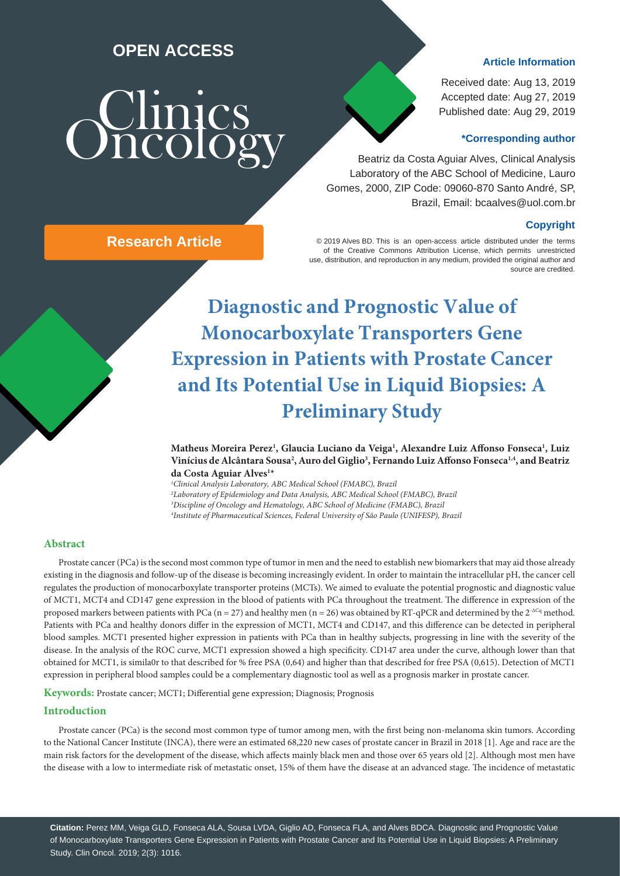# **OPEN ACCESS**

# **Oncolog**

## **Article Information**

Received date: Aug 13, 2019 Accepted date: Aug 27, 2019 Published date: Aug 29, 2019

### **\*Corresponding author**

 Beatriz da Costa Aguiar Alves, Clinical Analysis Laboratory of the ABC School of Medicine, Lauro Gomes, 2000, ZIP Code: 09060-870 Santo André, SP, Brazil, Email: bcaalves@uol.com.br

### **Copyright**

© 2019 Alves BD. This is an open-access article distributed under the terms of the Creative Commons Attribution License, which permits unrestricted use, distribution, and reproduction in any medium, provided the original author and source are credited.

**Diagnostic and Prognostic Value of Monocarboxylate Transporters Gene Expression in Patients with Prostate Cancer and Its Potential Use in Liquid Biopsies: A Preliminary Study**

**Matheus Moreira Perez1 , Glaucia Luciano da Veiga1 , Alexandre Luiz Affonso Fonseca1 , Luiz Vinícius de Alcântara Sousa2 , Auro del Giglio3 , Fernando Luiz Affonso Fonseca1,4, and Beatriz da Costa Aguiar Alves1 \***

 *Clinical Analysis Laboratory, ABC Medical School (FMABC), Brazil Laboratory of Epidemiology and Data Analysis, ABC Medical School (FMABC), Brazil Discipline of Oncology and Hematology, ABC School of Medicine (FMABC), Brazil Institute of Pharmaceutical Sciences, Federal University of São Paulo (UNIFESP), Brazil*

### **Abstract**

Prostate cancer (PCa) is the second most common type of tumor in men and the need to establish new biomarkers that may aid those already existing in the diagnosis and follow-up of the disease is becoming increasingly evident. In order to maintain the intracellular pH, the cancer cell regulates the production of monocarboxylate transporter proteins (MCTs). We aimed to evaluate the potential prognostic and diagnostic value of MCT1, MCT4 and CD147 gene expression in the blood of patients with PCa throughout the treatment. The difference in expression of the proposed markers between patients with PCa (n = 27) and healthy men (n = 26) was obtained by RT-qPCR and determined by the  $2^{-\Delta Cq}$  method. Patients with PCa and healthy donors differ in the expression of MCT1, MCT4 and CD147, and this difference can be detected in peripheral blood samples. MCT1 presented higher expression in patients with PCa than in healthy subjects, progressing in line with the severity of the disease. In the analysis of the ROC curve, MCT1 expression showed a high specificity. CD147 area under the curve, although lower than that obtained for MCT1, is simila0r to that described for % free PSA (0,64) and higher than that described for free PSA (0,615). Detection of MCT1 expression in peripheral blood samples could be a complementary diagnostic tool as well as a prognosis marker in prostate cancer.

**Keywords:** Prostate cancer; MCT1; Differential gene expression; Diagnosis; Prognosis

### **Introduction**

Prostate cancer (PCa) is the second most common type of tumor among men, with the first being non-melanoma skin tumors. According to the National Cancer Institute (INCA), there were an estimated 68,220 new cases of prostate cancer in Brazil in 2018 [1]. Age and race are the main risk factors for the development of the disease, which affects mainly black men and those over 65 years old [2]. Although most men have the disease with a low to intermediate risk of metastatic onset, 15% of them have the disease at an advanced stage. The incidence of metastatic

**Citation:** Perez MM, Veiga GLD, Fonseca ALA, Sousa LVDA, Giglio AD, Fonseca FLA, and Alves BDCA. Diagnostic and Prognostic Value of Monocarboxylate Transporters Gene Expression in Patients with Prostate Cancer and Its Potential Use in Liquid Biopsies: A Preliminary Study. Clin Oncol. 2019; 2(3): 1016.

**Research Article**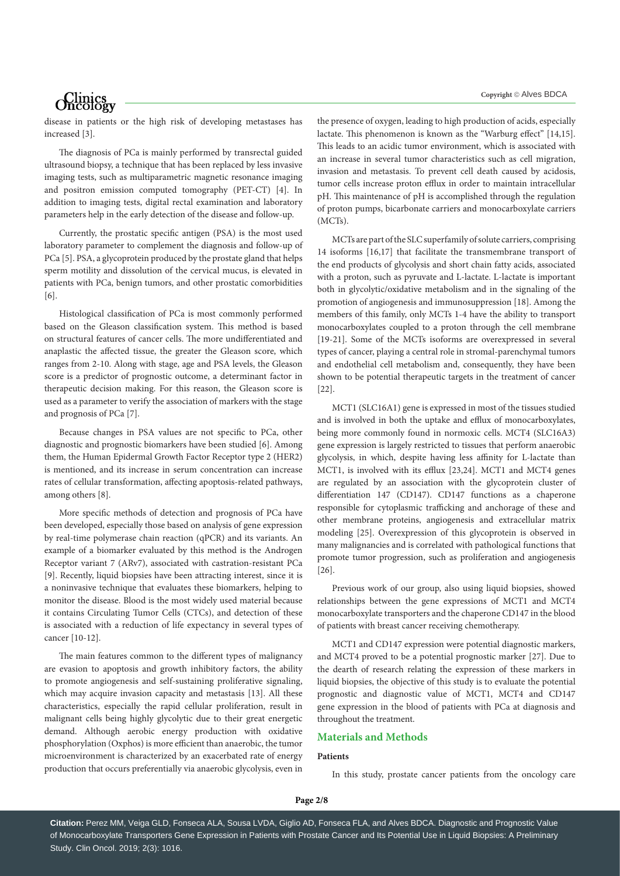disease in patients or the high risk of developing metastases has increased [3].

The diagnosis of PCa is mainly performed by transrectal guided ultrasound biopsy, a technique that has been replaced by less invasive imaging tests, such as multiparametric magnetic resonance imaging and positron emission computed tomography (PET-CT) [4]. In addition to imaging tests, digital rectal examination and laboratory parameters help in the early detection of the disease and follow-up.

Currently, the prostatic specific antigen (PSA) is the most used laboratory parameter to complement the diagnosis and follow-up of PCa [5]. PSA, a glycoprotein produced by the prostate gland that helps sperm motility and dissolution of the cervical mucus, is elevated in patients with PCa, benign tumors, and other prostatic comorbidities [6].

Histological classification of PCa is most commonly performed based on the Gleason classification system. This method is based on structural features of cancer cells. The more undifferentiated and anaplastic the affected tissue, the greater the Gleason score, which ranges from 2-10. Along with stage, age and PSA levels, the Gleason score is a predictor of prognostic outcome, a determinant factor in therapeutic decision making. For this reason, the Gleason score is used as a parameter to verify the association of markers with the stage and prognosis of PCa [7].

Because changes in PSA values are not specific to PCa, other diagnostic and prognostic biomarkers have been studied [6]. Among them, the Human Epidermal Growth Factor Receptor type 2 (HER2) is mentioned, and its increase in serum concentration can increase rates of cellular transformation, affecting apoptosis-related pathways, among others [8].

More specific methods of detection and prognosis of PCa have been developed, especially those based on analysis of gene expression by real-time polymerase chain reaction (qPCR) and its variants. An example of a biomarker evaluated by this method is the Androgen Receptor variant 7 (ARv7), associated with castration-resistant PCa [9]. Recently, liquid biopsies have been attracting interest, since it is a noninvasive technique that evaluates these biomarkers, helping to monitor the disease. Blood is the most widely used material because it contains Circulating Tumor Cells (CTCs), and detection of these is associated with a reduction of life expectancy in several types of cancer [10-12].

The main features common to the different types of malignancy are evasion to apoptosis and growth inhibitory factors, the ability to promote angiogenesis and self-sustaining proliferative signaling, which may acquire invasion capacity and metastasis [13]. All these characteristics, especially the rapid cellular proliferation, result in malignant cells being highly glycolytic due to their great energetic demand. Although aerobic energy production with oxidative phosphorylation (Oxphos) is more efficient than anaerobic, the tumor microenvironment is characterized by an exacerbated rate of energy production that occurs preferentially via anaerobic glycolysis, even in

the presence of oxygen, leading to high production of acids, especially lactate. This phenomenon is known as the "Warburg effect" [14,15]. This leads to an acidic tumor environment, which is associated with an increase in several tumor characteristics such as cell migration, invasion and metastasis. To prevent cell death caused by acidosis, tumor cells increase proton efflux in order to maintain intracellular pH. This maintenance of pH is accomplished through the regulation of proton pumps, bicarbonate carriers and monocarboxylate carriers (MCTs).

MCTs are part of the SLC superfamily of solute carriers, comprising 14 isoforms [16,17] that facilitate the transmembrane transport of the end products of glycolysis and short chain fatty acids, associated with a proton, such as pyruvate and L-lactate. L-lactate is important both in glycolytic/oxidative metabolism and in the signaling of the promotion of angiogenesis and immunosuppression [18]. Among the members of this family, only MCTs 1-4 have the ability to transport monocarboxylates coupled to a proton through the cell membrane [19-21]. Some of the MCTs isoforms are overexpressed in several types of cancer, playing a central role in stromal-parenchymal tumors and endothelial cell metabolism and, consequently, they have been shown to be potential therapeutic targets in the treatment of cancer [22].

MCT1 (SLC16A1) gene is expressed in most of the tissues studied and is involved in both the uptake and efflux of monocarboxylates, being more commonly found in normoxic cells. MCT4 (SLC16A3) gene expression is largely restricted to tissues that perform anaerobic glycolysis, in which, despite having less affinity for L-lactate than MCT1, is involved with its efflux [23,24]. MCT1 and MCT4 genes are regulated by an association with the glycoprotein cluster of differentiation 147 (CD147). CD147 functions as a chaperone responsible for cytoplasmic trafficking and anchorage of these and other membrane proteins, angiogenesis and extracellular matrix modeling [25]. Overexpression of this glycoprotein is observed in many malignancies and is correlated with pathological functions that promote tumor progression, such as proliferation and angiogenesis [26].

Previous work of our group, also using liquid biopsies, showed relationships between the gene expressions of MCT1 and MCT4 monocarboxylate transporters and the chaperone CD147 in the blood of patients with breast cancer receiving chemotherapy.

MCT1 and CD147 expression were potential diagnostic markers, and MCT4 proved to be a potential prognostic marker [27]. Due to the dearth of research relating the expression of these markers in liquid biopsies, the objective of this study is to evaluate the potential prognostic and diagnostic value of MCT1, MCT4 and CD147 gene expression in the blood of patients with PCa at diagnosis and throughout the treatment.

### **Materials and Methods**

### **Patients**

In this study, prostate cancer patients from the oncology care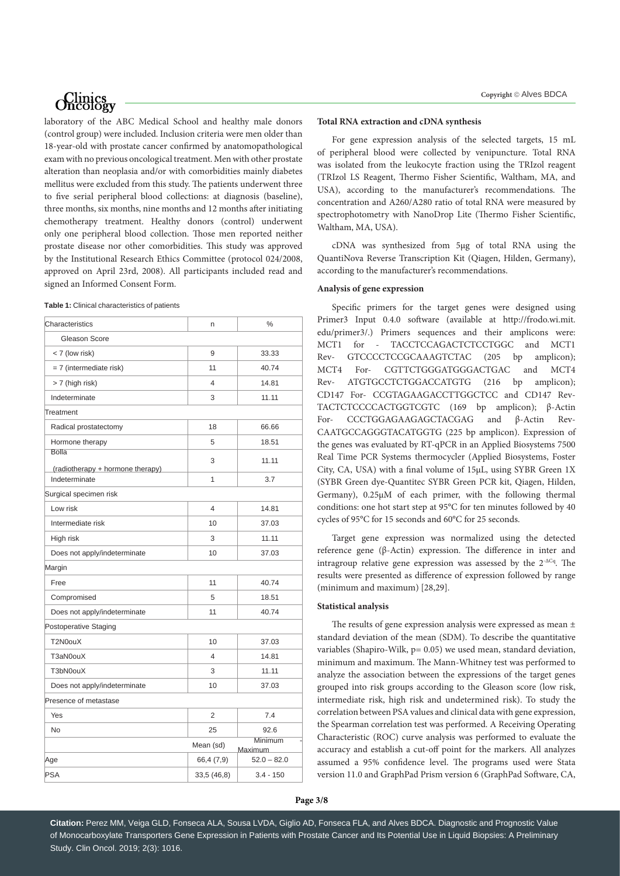laboratory of the ABC Medical School and healthy male donors (control group) were included. Inclusion criteria were men older than 18-year-old with prostate cancer confirmed by anatomopathological exam with no previous oncological treatment. Men with other prostate alteration than neoplasia and/or with comorbidities mainly diabetes mellitus were excluded from this study. The patients underwent three to five serial peripheral blood collections: at diagnosis (baseline), three months, six months, nine months and 12 months after initiating chemotherapy treatment. Healthy donors (control) underwent only one peripheral blood collection. Those men reported neither prostate disease nor other comorbidities. This study was approved by the Institutional Research Ethics Committee (protocol 024/2008, approved on April 23rd, 2008). All participants included read and signed an Informed Consent Form.

| Table 1: Clinical characteristics of patients |
|-----------------------------------------------|
|-----------------------------------------------|

| Characteristics                                   | n          | %             |  |  |  |  |
|---------------------------------------------------|------------|---------------|--|--|--|--|
| Gleason Score                                     |            |               |  |  |  |  |
| < 7 (low risk)                                    | 9          | 33.33         |  |  |  |  |
| = 7 (intermediate risk)                           | 11         | 40.74         |  |  |  |  |
| > 7 (high risk)                                   | 4          | 14.81         |  |  |  |  |
| Indeterminate                                     | 3          | 11.11         |  |  |  |  |
| Treatment                                         |            |               |  |  |  |  |
| Radical prostatectomy                             | 18         | 66.66         |  |  |  |  |
| Hormone therapy                                   | 5          | 18.51         |  |  |  |  |
| <b>Bolla</b>                                      | 3          | 11.11         |  |  |  |  |
| (radiotherapy + hormone therapy)<br>Indeterminate | 1          | 3.7           |  |  |  |  |
| Surgical specimen risk                            |            |               |  |  |  |  |
| Low risk                                          | 4          | 14.81         |  |  |  |  |
| Intermediate risk                                 | 10         | 37.03         |  |  |  |  |
| High risk                                         | 3          | 11.11         |  |  |  |  |
| Does not apply/indeterminate                      | 10         | 37.03         |  |  |  |  |
| Margin                                            |            |               |  |  |  |  |
| Free                                              | 11         | 40.74         |  |  |  |  |
| Compromised                                       | 5          | 18.51         |  |  |  |  |
| Does not apply/indeterminate                      | 11         | 40.74         |  |  |  |  |
| Postoperative Staging                             |            |               |  |  |  |  |
| T2N0ouX                                           | 10         | 37.03         |  |  |  |  |
| T3aN0ouX                                          | 4          | 14.81         |  |  |  |  |
| T3bN0ouX                                          | 3          | 11.11         |  |  |  |  |
| Does not apply/indeterminate                      | 10         | 37.03         |  |  |  |  |
| Presence of metastase                             |            |               |  |  |  |  |
| Yes                                               | 2          | 7.4           |  |  |  |  |
| <b>No</b>                                         | 25         | 92.6          |  |  |  |  |
| Minimum<br>Mean (sd)<br><b>Maximum</b>            |            |               |  |  |  |  |
| Age                                               | 66,4 (7,9) | $52.0 - 82.0$ |  |  |  |  |
| PSA                                               | 33,5(46,8) | $3.4 - 150$   |  |  |  |  |
|                                                   |            |               |  |  |  |  |

### **Total RNA extraction and cDNA synthesis**

For gene expression analysis of the selected targets, 15 mL of peripheral blood were collected by venipuncture. Total RNA was isolated from the leukocyte fraction using the TRIzol reagent (TRIzol LS Reagent, Thermo Fisher Scientific, Waltham, MA, and USA), according to the manufacturer's recommendations. The concentration and A260/A280 ratio of total RNA were measured by spectrophotometry with NanoDrop Lite (Thermo Fisher Scientific, Waltham, MA, USA).

cDNA was synthesized from 5µg of total RNA using the QuantiNova Reverse Transcription Kit (Qiagen, Hilden, Germany), according to the manufacturer's recommendations.

### **Analysis of gene expression**

Specific primers for the target genes were designed using Primer3 Input 0.4.0 software (available at http://frodo.wi.mit. edu/primer3/.) Primers sequences and their amplicons were: MCT1 for - TACCTCCAGACTCTCCTGGC and MCT1 Rev- GTCCCCTCCGCAAAGTCTAC (205 bp amplicon); MCT4 For- CGTTCTGGGATGGGACTGAC and MCT4 Rev- ATGTGCCTCTGGACCATGTG (216 bp amplicon); CD147 For- CCGTAGAAGACCTTGGCTCC and CD147 Rev-TACTCTCCCCACTGGTCGTC (169 bp amplicon); β-Actin For- CCCTGGAGAAGAGCTACGAG and β-Actin Rev-CAATGCCAGGGTACATGGTG (225 bp amplicon). Expression of the genes was evaluated by RT-qPCR in an Applied Biosystems 7500 Real Time PCR Systems thermocycler (Applied Biosystems, Foster City, CA, USA) with a final volume of 15μL, using SYBR Green 1X (SYBR Green dye-Quantitec SYBR Green PCR kit, Qiagen, Hilden, Germany), 0.25μM of each primer, with the following thermal conditions: one hot start step at 95°C for ten minutes followed by 40 cycles of 95°C for 15 seconds and 60°C for 25 seconds.

Target gene expression was normalized using the detected reference gene (β-Actin) expression. The difference in inter and intragroup relative gene expression was assessed by the 2<sup>-ΔCq</sup>. The results were presented as difference of expression followed by range (minimum and maximum) [28,29].

### **Statistical analysis**

The results of gene expression analysis were expressed as mean ± standard deviation of the mean (SDM). To describe the quantitative variables (Shapiro-Wilk, p= 0.05) we used mean, standard deviation, minimum and maximum. The Mann-Whitney test was performed to analyze the association between the expressions of the target genes grouped into risk groups according to the Gleason score (low risk, intermediate risk, high risk and undetermined risk). To study the correlation between PSA values and clinical data with gene expression, the Spearman correlation test was performed. A Receiving Operating Characteristic (ROC) curve analysis was performed to evaluate the accuracy and establish a cut-off point for the markers. All analyzes assumed a 95% confidence level. The programs used were Stata version 11.0 and GraphPad Prism version 6 (GraphPad Software, CA,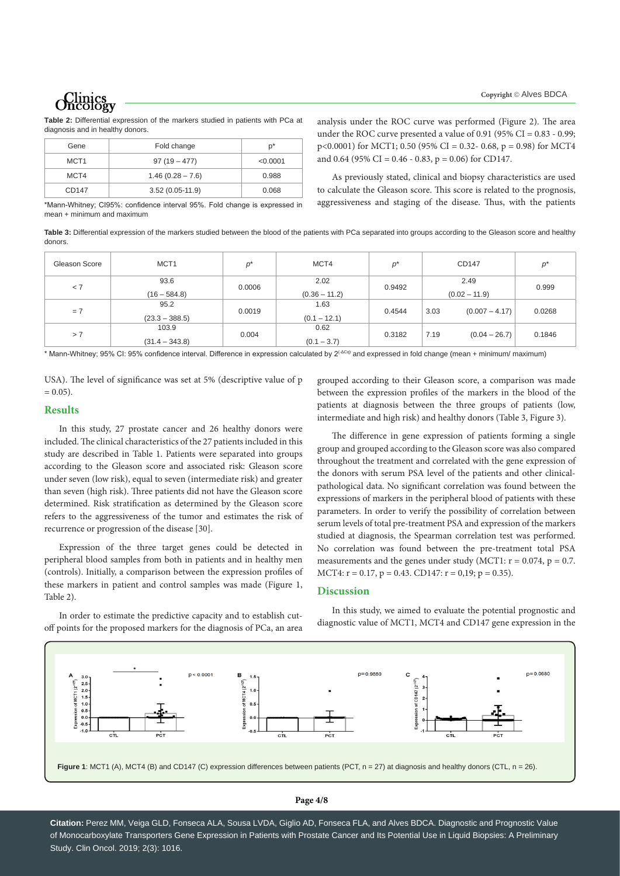**Table 2:** Differential expression of the markers studied in patients with PCa at diagnosis and in healthy donors.

| Gene             | Fold change        | $p^*$    |
|------------------|--------------------|----------|
| MCT <sub>1</sub> | $97(19 - 477)$     | < 0.0001 |
| MCT4             | $1.46(0.28 - 7.6)$ | 0.988    |
| CD147            | $3.52(0.05-11.9)$  | 0.068    |

analysis under the ROC curve was performed (Figure 2). The area under the ROC curve presented a value of  $0.91$  ( $95\%$  CI =  $0.83$  -  $0.99$ ;  $p<0.0001$ ) for MCT1; 0.50 (95% CI = 0.32- 0.68, p = 0.98) for MCT4 and 0.64 (95% CI = 0.46 - 0.83, p = 0.06) for CD147.

As previously stated, clinical and biopsy characteristics are used to calculate the Gleason score. This score is related to the prognosis, aggressiveness and staging of the disease. Thus, with the patients

\*Mann-Whitney; CI95%: confidence interval 95%. Fold change is expressed in mean + minimum and maximum

**Table 3:** Differential expression of the markers studied between the blood of the patients with PCa separated into groups according to the Gleason score and healthy donors.

| Gleason Score | MCT <sub>1</sub>          | $p^*$  | MCT4                    | p*     | CD147                    | p*     |
|---------------|---------------------------|--------|-------------------------|--------|--------------------------|--------|
| < 7           | 93.6<br>$(16 - 584.8)$    | 0.0006 | 2.02<br>$(0.36 - 11.2)$ | 0.9492 | 2.49<br>$(0.02 - 11.9)$  | 0.999  |
| $= 7$         | 95.2<br>$(23.3 - 388.5)$  | 0.0019 | 1.63<br>$(0.1 - 12.1)$  | 0.4544 | 3.03<br>$(0.007 - 4.17)$ | 0.0268 |
| > 7           | 103.9<br>$(31.4 - 343.8)$ | 0.004  | 0.62<br>$(0.1 - 3.7)$   | 0.3182 | $(0.04 - 26.7)$<br>7.19  | 0.1846 |

\* Mann-Whitney; 95% CI: 95% confidence interval. Difference in expression calculated by 2<sup>(-ΔCq)</sup> and expressed in fold change (mean + minimum/ maximum)

USA). The level of significance was set at 5% (descriptive value of p  $= 0.05$ ).

### **Results**

In this study, 27 prostate cancer and 26 healthy donors were included. The clinical characteristics of the 27 patients included in this study are described in Table 1. Patients were separated into groups according to the Gleason score and associated risk: Gleason score under seven (low risk), equal to seven (intermediate risk) and greater than seven (high risk). Three patients did not have the Gleason score determined. Risk stratification as determined by the Gleason score refers to the aggressiveness of the tumor and estimates the risk of recurrence or progression of the disease [30].

Expression of the three target genes could be detected in peripheral blood samples from both in patients and in healthy men (controls). Initially, a comparison between the expression profiles of these markers in patient and control samples was made (Figure 1, Table 2).

In order to estimate the predictive capacity and to establish cutoff points for the proposed markers for the diagnosis of PCa, an area

grouped according to their Gleason score, a comparison was made between the expression profiles of the markers in the blood of the patients at diagnosis between the three groups of patients (low, intermediate and high risk) and healthy donors (Table 3, Figure 3).

The difference in gene expression of patients forming a single group and grouped according to the Gleason score was also compared throughout the treatment and correlated with the gene expression of the donors with serum PSA level of the patients and other clinicalpathological data. No significant correlation was found between the expressions of markers in the peripheral blood of patients with these parameters. In order to verify the possibility of correlation between serum levels of total pre-treatment PSA and expression of the markers studied at diagnosis, the Spearman correlation test was performed. No correlation was found between the pre-treatment total PSA measurements and the genes under study (MCT1:  $r = 0.074$ ,  $p = 0.7$ . MCT4:  $r = 0.17$ ,  $p = 0.43$ . CD147:  $r = 0.19$ ;  $p = 0.35$ ).

## **Discussion**

diagnostic value of MCT1, MCT4 and CD147 gene expression in the

In this study, we aimed to evaluate the potential prognostic and



### **Page 4/8**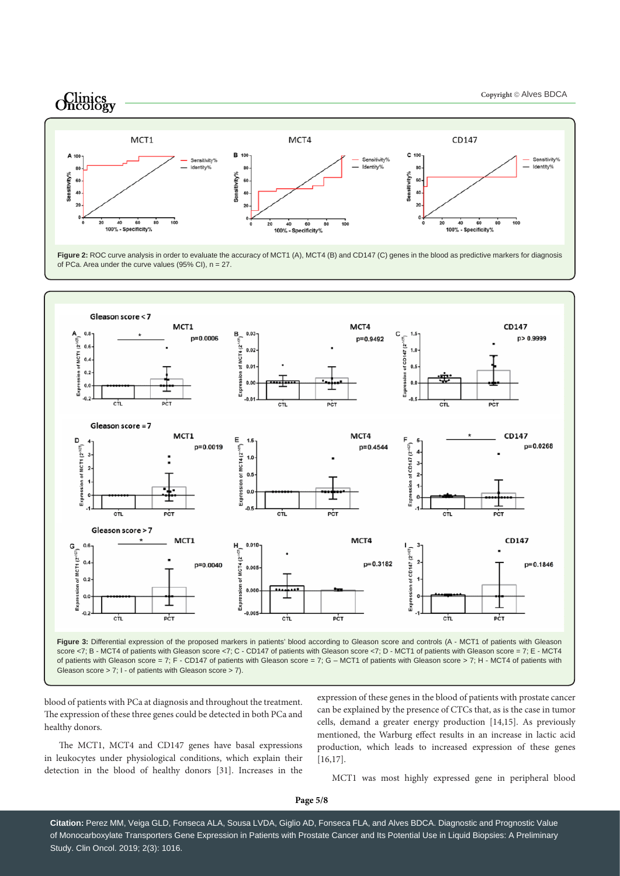

Figure 2: ROC curve analysis in order to evaluate the accuracy of MCT1 (A), MCT4 (B) and CD147 (C) genes in the blood as predictive markers for diagnosis of PCa. Area under the curve values (95% CI), n = 27.



Gleason score > 7; I - of patients with Gleason score > 7).

blood of patients with PCa at diagnosis and throughout the treatment. The expression of these three genes could be detected in both PCa and healthy donors.

The MCT1, MCT4 and CD147 genes have basal expressions in leukocytes under physiological conditions, which explain their detection in the blood of healthy donors [31]. Increases in the

expression of these genes in the blood of patients with prostate cancer can be explained by the presence of CTCs that, as is the case in tumor cells, demand a greater energy production [14,15]. As previously mentioned, the Warburg effect results in an increase in lactic acid production, which leads to increased expression of these genes [16,17].

MCT1 was most highly expressed gene in peripheral blood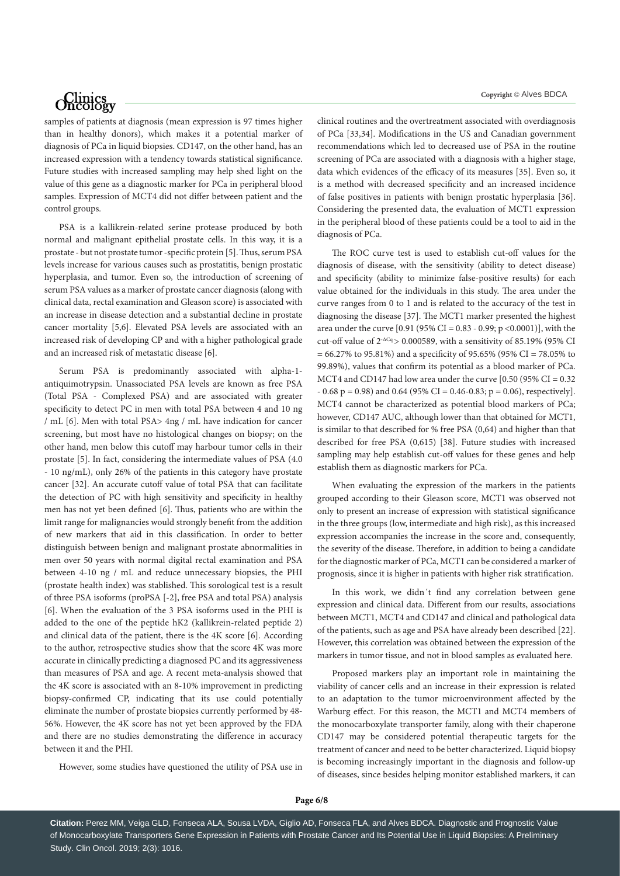samples of patients at diagnosis (mean expression is 97 times higher than in healthy donors), which makes it a potential marker of diagnosis of PCa in liquid biopsies. CD147, on the other hand, has an increased expression with a tendency towards statistical significance. Future studies with increased sampling may help shed light on the value of this gene as a diagnostic marker for PCa in peripheral blood samples. Expression of MCT4 did not differ between patient and the control groups.

PSA is a kallikrein-related serine protease produced by both normal and malignant epithelial prostate cells. In this way, it is a prostate - but not prostate tumor -specific protein [5]. Thus, serum PSA levels increase for various causes such as prostatitis, benign prostatic hyperplasia, and tumor. Even so, the introduction of screening of serum PSA values as a marker of prostate cancer diagnosis (along with clinical data, rectal examination and Gleason score) is associated with an increase in disease detection and a substantial decline in prostate cancer mortality [5,6]. Elevated PSA levels are associated with an increased risk of developing CP and with a higher pathological grade and an increased risk of metastatic disease [6].

Serum PSA is predominantly associated with alpha-1 antiquimotrypsin. Unassociated PSA levels are known as free PSA (Total PSA - Complexed PSA) and are associated with greater specificity to detect PC in men with total PSA between 4 and 10 ng / mL [6]. Men with total PSA> 4ng / mL have indication for cancer screening, but most have no histological changes on biopsy; on the other hand, men below this cutoff may harbour tumor cells in their prostate [5]. In fact, considering the intermediate values of PSA (4.0 - 10 ng/mL), only 26% of the patients in this category have prostate cancer [32]. An accurate cutoff value of total PSA that can facilitate the detection of PC with high sensitivity and specificity in healthy men has not yet been defined [6]. Thus, patients who are within the limit range for malignancies would strongly benefit from the addition of new markers that aid in this classification. In order to better distinguish between benign and malignant prostate abnormalities in men over 50 years with normal digital rectal examination and PSA between 4-10 ng / mL and reduce unnecessary biopsies, the PHI (prostate health index) was stablished. This sorological test is a result of three PSA isoforms (proPSA [-2], free PSA and total PSA) analysis [6]. When the evaluation of the 3 PSA isoforms used in the PHI is added to the one of the peptide hK2 (kallikrein-related peptide 2) and clinical data of the patient, there is the 4K score [6]. According to the author, retrospective studies show that the score 4K was more accurate in clinically predicting a diagnosed PC and its aggressiveness than measures of PSA and age. A recent meta-analysis showed that the 4K score is associated with an 8-10% improvement in predicting biopsy-confirmed CP, indicating that its use could potentially eliminate the number of prostate biopsies currently performed by 48- 56%. However, the 4K score has not yet been approved by the FDA and there are no studies demonstrating the difference in accuracy between it and the PHI.

However, some studies have questioned the utility of PSA use in

clinical routines and the overtreatment associated with overdiagnosis of PCa [33,34]. Modifications in the US and Canadian government recommendations which led to decreased use of PSA in the routine screening of PCa are associated with a diagnosis with a higher stage, data which evidences of the efficacy of its measures [35]. Even so, it is a method with decreased specificity and an increased incidence of false positives in patients with benign prostatic hyperplasia [36]. Considering the presented data, the evaluation of MCT1 expression in the peripheral blood of these patients could be a tool to aid in the diagnosis of PCa.

The ROC curve test is used to establish cut-off values for the diagnosis of disease, with the sensitivity (ability to detect disease) and specificity (ability to minimize false-positive results) for each value obtained for the individuals in this study. The area under the curve ranges from 0 to 1 and is related to the accuracy of the test in diagnosing the disease [37]. The MCT1 marker presented the highest area under the curve [0.91 (95% CI = 0.83 - 0.99; p <0.0001)], with the cut-off value of  $2-\Delta Cq > 0.000589$ , with a sensitivity of 85.19% (95% CI = 66.27% to 95.81%) and a specificity of 95.65% (95% CI = 78.05% to 99.89%), values that confirm its potential as a blood marker of PCa. MCT4 and CD147 had low area under the curve  $[0.50 (95\% CI = 0.32$  $- 0.68$  p = 0.98) and 0.64 (95% CI = 0.46-0.83; p = 0.06), respectively]. MCT4 cannot be characterized as potential blood markers of PCa; however, CD147 AUC, although lower than that obtained for MCT1, is similar to that described for % free PSA (0,64) and higher than that described for free PSA (0,615) [38]. Future studies with increased sampling may help establish cut-off values for these genes and help establish them as diagnostic markers for PCa.

When evaluating the expression of the markers in the patients grouped according to their Gleason score, MCT1 was observed not only to present an increase of expression with statistical significance in the three groups (low, intermediate and high risk), as this increased expression accompanies the increase in the score and, consequently, the severity of the disease. Therefore, in addition to being a candidate for the diagnostic marker of PCa, MCT1 can be considered a marker of prognosis, since it is higher in patients with higher risk stratification.

In this work, we didn´t find any correlation between gene expression and clinical data. Different from our results, associations between MCT1, MCT4 and CD147 and clinical and pathological data of the patients, such as age and PSA have already been described [22]. However, this correlation was obtained between the expression of the markers in tumor tissue, and not in blood samples as evaluated here.

Proposed markers play an important role in maintaining the viability of cancer cells and an increase in their expression is related to an adaptation to the tumor microenvironment affected by the Warburg effect. For this reason, the MCT1 and MCT4 members of the monocarboxylate transporter family, along with their chaperone CD147 may be considered potential therapeutic targets for the treatment of cancer and need to be better characterized. Liquid biopsy is becoming increasingly important in the diagnosis and follow-up of diseases, since besides helping monitor established markers, it can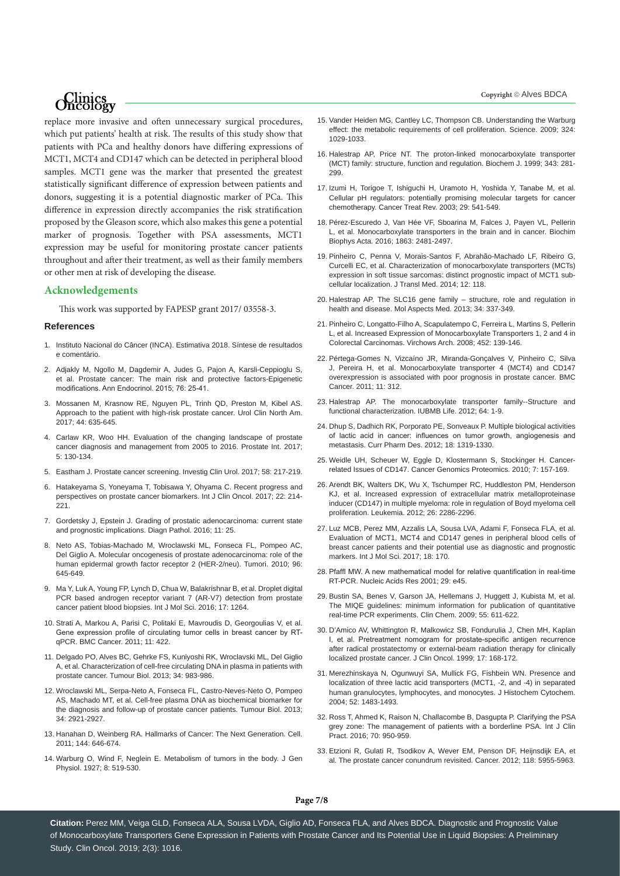replace more invasive and often unnecessary surgical procedures, which put patients' health at risk. The results of this study show that patients with PCa and healthy donors have differing expressions of MCT1, MCT4 and CD147 which can be detected in peripheral blood samples. MCT1 gene was the marker that presented the greatest statistically significant difference of expression between patients and donors, suggesting it is a potential diagnostic marker of PCa. This difference in expression directly accompanies the risk stratification proposed by the Gleason score, which also makes this gene a potential marker of prognosis. Together with PSA assessments, MCT1 expression may be useful for monitoring prostate cancer patients throughout and after their treatment, as well as their family members or other men at risk of developing the disease.

### **Acknowledgements**

This work was supported by FAPESP grant 2017/ 03558-3.

### **References**

- 1. [Instituto Nacional do Câncer \(INCA\). Estimativa 2018. Síntese de resultados](https://www.inca.gov.br/)  [e comentário.](https://www.inca.gov.br/)
- 2. [Adjakly M, Ngollo M, Dagdemir A, Judes G, Pajon A, Karsli-Ceppioglu S,](https://www.ncbi.nlm.nih.gov/pubmed/25592466)  [et al. Prostate cancer: The main risk and protective factors-Epigenetic](https://www.ncbi.nlm.nih.gov/pubmed/25592466)  [modifications. Ann Endocrinol. 2015; 76: 25-41.](https://www.ncbi.nlm.nih.gov/pubmed/25592466)
- 3. [Mossanen M, Krasnow RE, Nguyen PL, Trinh QD, Preston M, Kibel AS.](https://www.ncbi.nlm.nih.gov/pubmed/29107279)  [Approach to the patient with high-risk prostate cancer. Urol Clin North Am.](https://www.ncbi.nlm.nih.gov/pubmed/29107279)  [2017; 44: 635-645.](https://www.ncbi.nlm.nih.gov/pubmed/29107279)
- 4. [Carlaw KR, Woo HH. Evaluation of the changing landscape of prostate](https://www.ncbi.nlm.nih.gov/pubmed/29188198)  [cancer diagnosis and management from 2005 to 2016. Prostate Int. 2017;](https://www.ncbi.nlm.nih.gov/pubmed/29188198)  [5: 130-134.](https://www.ncbi.nlm.nih.gov/pubmed/29188198)
- 5. [Eastham J. Prostate cancer screening. Investig Clin Urol. 2017; 58: 217-219.](https://www.ncbi.nlm.nih.gov/pmc/articles/PMC5494343/)
- 6. [Hatakeyama S, Yoneyama T, Tobisawa Y, Ohyama C. Recent progress and](https://www.ncbi.nlm.nih.gov/pubmed/27730440)  [perspectives on prostate cancer biomarkers. Int J Clin Oncol. 2017; 22: 214-](https://www.ncbi.nlm.nih.gov/pubmed/27730440) [221.](https://www.ncbi.nlm.nih.gov/pubmed/27730440)
- 7. [Gordetsky J, Epstein J. Grading of prostatic adenocarcinoma: current state](https://www.ncbi.nlm.nih.gov/pubmed/26956509)  [and prognostic implications. Diagn Pathol. 2016; 11: 25.](https://www.ncbi.nlm.nih.gov/pubmed/26956509)
- 8. [Neto AS, Tobias-Machado M, Wroclawski ML, Fonseca FL, Pompeo AC,](https://www.ncbi.nlm.nih.gov/pubmed/21302606)  [Del Giglio A. Molecular oncogenesis of prostate adenocarcinoma: role of the](https://www.ncbi.nlm.nih.gov/pubmed/21302606)  [human epidermal growth factor receptor 2 \(HER-2/neu\). Tumori. 2010; 96:](https://www.ncbi.nlm.nih.gov/pubmed/21302606)  [645-649.](https://www.ncbi.nlm.nih.gov/pubmed/21302606)
- 9. [Ma Y, Luk A, Young FP, Lynch D, Chua W, Balakrishnar B, et al. Droplet digital](https://www.ncbi.nlm.nih.gov/pubmed/27527157)  [PCR based androgen receptor variant 7 \(AR-V7\) detection from prostate](https://www.ncbi.nlm.nih.gov/pubmed/27527157)  [cancer patient blood biopsies. Int J Mol Sci. 2016; 17: 1264.](https://www.ncbi.nlm.nih.gov/pubmed/27527157)
- 10. [Strati A, Markou A, Parisi C, Politaki E, Mavroudis D, Georgoulias V, et al.](https://www.ncbi.nlm.nih.gov/pubmed/21967632)  [Gene expression profile of circulating tumor cells in breast cancer by RT](https://www.ncbi.nlm.nih.gov/pubmed/21967632)[qPCR. BMC Cancer. 2011; 11: 422.](https://www.ncbi.nlm.nih.gov/pubmed/21967632)
- 11. [Delgado PO, Alves BC, Gehrke FS, Kuniyoshi RK, Wroclavski ML, Del Giglio](https://www.ncbi.nlm.nih.gov/pubmed/23269609)  [A, et al. Characterization of cell-free circulating DNA in plasma in patients with](https://www.ncbi.nlm.nih.gov/pubmed/23269609)  [prostate cancer. Tumour Biol. 2013; 34: 983-986.](https://www.ncbi.nlm.nih.gov/pubmed/23269609)
- 12. [Wroclawski ML, Serpa-Neto A, Fonseca FL, Castro-Neves-Neto O, Pompeo](https://www.ncbi.nlm.nih.gov/pubmed/23715778)  [AS, Machado MT, et al. Cell-free plasma DNA as biochemical biomarker for](https://www.ncbi.nlm.nih.gov/pubmed/23715778)  [the diagnosis and follow-up of prostate cancer patients. Tumour Biol. 2013;](https://www.ncbi.nlm.nih.gov/pubmed/23715778)  [34: 2921-2927.](https://www.ncbi.nlm.nih.gov/pubmed/23715778)
- 13. [Hanahan D, Weinberg RA. Hallmarks of Cancer: The Next Generation. Cell.](https://www.ncbi.nlm.nih.gov/pubmed/21376230)  [2011; 144: 646-674.](https://www.ncbi.nlm.nih.gov/pubmed/21376230)
- 14. [Warburg O, Wind F, Neglein E. Metabolism of tumors in the body. J Gen](https://www.ncbi.nlm.nih.gov/pubmed/19872213)  [Physiol. 1927; 8: 519-530.](https://www.ncbi.nlm.nih.gov/pubmed/19872213)
- 15. [Vander Heiden MG, Cantley LC, Thompson CB. Understanding the Warburg](https://www.ncbi.nlm.nih.gov/pubmed/19460998)  [effect: the metabolic requirements of cell proliferation. Science. 2009; 324:](https://www.ncbi.nlm.nih.gov/pubmed/19460998)  [1029-1033.](https://www.ncbi.nlm.nih.gov/pubmed/19460998)
- 16. [Halestrap AP, Price NT. The proton-linked monocarboxylate transporter](https://www.ncbi.nlm.nih.gov/pubmed/10510291)  [\(MCT\) family: structure, function and regulation. Biochem J. 1999; 343: 281-](https://www.ncbi.nlm.nih.gov/pubmed/10510291) [299.](https://www.ncbi.nlm.nih.gov/pubmed/10510291)
- 17. [Izumi H, Torigoe T, Ishiguchi H, Uramoto H, Yoshida Y, Tanabe M, et al.](https://www.ncbi.nlm.nih.gov/pubmed/14585264)  [Cellular pH regulators: potentially promising molecular targets for cancer](https://www.ncbi.nlm.nih.gov/pubmed/14585264)  [chemotherapy. Cancer Treat Rev. 2003; 29: 541-549.](https://www.ncbi.nlm.nih.gov/pubmed/14585264)
- 18. [Pérez-Escuredo J, Van Hée VF, Sboarina M, Falces J, Payen VL, Pellerin](https://www.ncbi.nlm.nih.gov/pubmed/26993058)  [L, et al. Monocarboxylate transporters in the brain and in cancer. Biochim](https://www.ncbi.nlm.nih.gov/pubmed/26993058)  [Biophys Acta. 2016; 1863: 2481-2497.](https://www.ncbi.nlm.nih.gov/pubmed/26993058)
- 19. [Pinheiro C, Penna V, Morais-Santos F, Abrahão-Machado LF, Ribeiro G,](https://www.ncbi.nlm.nih.gov/pubmed/24885736)  [Curcelli EC, et al. Characterization of monocarboxylate transporters \(MCTs\)](https://www.ncbi.nlm.nih.gov/pubmed/24885736)  [expression in soft tissue sarcomas: distinct prognostic impact of MCT1 sub](https://www.ncbi.nlm.nih.gov/pubmed/24885736)[cellular localization. J Transl Med. 2014; 12: 118.](https://www.ncbi.nlm.nih.gov/pubmed/24885736)
- 20. [Halestrap AP. The SLC16 gene family structure, role and regulation in](https://www.ncbi.nlm.nih.gov/pubmed/23506875)  [health and disease. Mol Aspects Med. 2013; 34: 337-349.](https://www.ncbi.nlm.nih.gov/pubmed/23506875)
- 21. [Pinheiro C, Longatto-Filho A, Scapulatempo C, Ferreira L, Martins S, Pellerin](https://www.ncbi.nlm.nih.gov/pubmed/18188595)  [L, et al. Increased Expression of Monocarboxylate Transporters 1, 2 and 4 in](https://www.ncbi.nlm.nih.gov/pubmed/18188595)  [Colorectal Carcinomas. Virchows Arch. 2008; 452: 139-146.](https://www.ncbi.nlm.nih.gov/pubmed/18188595)
- 22. [Pértega-Gomes N, Vizcaíno JR, Miranda-Gonçalves V, Pinheiro C, Silva](https://www.ncbi.nlm.nih.gov/pubmed/21787388)  [J, Pereira H, et al. Monocarboxylate transporter 4 \(MCT4\) and CD147](https://www.ncbi.nlm.nih.gov/pubmed/21787388)  [overexpression is associated with poor prognosis in prostate cancer. BMC](https://www.ncbi.nlm.nih.gov/pubmed/21787388)  [Cancer. 2011; 11: 312.](https://www.ncbi.nlm.nih.gov/pubmed/21787388)
- 23. [Halestrap AP. The monocarboxylate transporter family--Structure and](https://www.ncbi.nlm.nih.gov/pubmed/22131303)  [functional characterization. IUBMB Life. 2012; 64: 1-9.](https://www.ncbi.nlm.nih.gov/pubmed/22131303)
- 24. [Dhup S, Dadhich RK, Porporato PE, Sonveaux P. Multiple biological activities](https://www.ncbi.nlm.nih.gov/pubmed/22360558)  [of lactic acid in cancer: influences on tumor growth, angiogenesis and](https://www.ncbi.nlm.nih.gov/pubmed/22360558)  [metastasis. Curr Pharm Des. 2012; 18: 1319-1330.](https://www.ncbi.nlm.nih.gov/pubmed/22360558)
- 25. [Weidle UH, Scheuer W, Eggle D, Klostermann S, Stockinger H. Cancer](https://www.ncbi.nlm.nih.gov/pubmed/20551248)[related Issues of CD147. Cancer Genomics Proteomics. 2010; 7: 157-169.](https://www.ncbi.nlm.nih.gov/pubmed/20551248)
- 26. [Arendt BK, Walters DK, Wu X, Tschumper RC, Huddleston PM, Henderson](https://www.ncbi.nlm.nih.gov/pubmed/22460757)  [KJ, et al. Increased expression of extracellular matrix metalloproteinase](https://www.ncbi.nlm.nih.gov/pubmed/22460757)  [inducer \(CD147\) in multiple myeloma: role in regulation of Boyd myeloma cell](https://www.ncbi.nlm.nih.gov/pubmed/22460757)  [proliferation. Leukemia. 2012; 26: 2286-2296.](https://www.ncbi.nlm.nih.gov/pubmed/22460757)
- 27. [Luz MCB, Perez MM, Azzalis LA, Sousa LVA, Adami F, Fonseca FLA, et al.](https://www.ncbi.nlm.nih.gov/pubmed/28333070)  [Evaluation of MCT1, MCT4 and CD147 genes in peripheral blood cells of](https://www.ncbi.nlm.nih.gov/pubmed/28333070)  [breast cancer patients and their potential use as diagnostic and prognostic](https://www.ncbi.nlm.nih.gov/pubmed/28333070)  [markers. Int J Mol Sci. 2017; 18: 170.](https://www.ncbi.nlm.nih.gov/pubmed/28333070)
- 28. [Pfaffl MW. A new mathematical model for relative quantification in real-time](https://www.ncbi.nlm.nih.gov/pubmed/11328886)  [RT-PCR. Nucleic Acids Res 2001; 29: e45.](https://www.ncbi.nlm.nih.gov/pubmed/11328886)
- 29. [Bustin SA, Benes V, Garson JA, Hellemans J, Huggett J, Kubista M, et al.](https://www.ncbi.nlm.nih.gov/pubmed/19246619)  [The MIQE guidelines: minimum information for publication of quantitative](https://www.ncbi.nlm.nih.gov/pubmed/19246619)  [real-time PCR experiments. Clin Chem. 2009; 55: 611-622.](https://www.ncbi.nlm.nih.gov/pubmed/19246619)
- 30. [D'Amico AV, Whittington R, Malkowicz SB, Fondurulia J, Chen MH, Kaplan](https://www.ncbi.nlm.nih.gov/pubmed/10458230)  [I, et al. Pretreatment nomogram for prostate-specific antigen recurrence](https://www.ncbi.nlm.nih.gov/pubmed/10458230)  [after radical prostatectomy or external-beam radiation therapy for clinically](https://www.ncbi.nlm.nih.gov/pubmed/10458230)  [localized prostate cancer. J Clin Oncol. 1999; 17: 168-172.](https://www.ncbi.nlm.nih.gov/pubmed/10458230)
- 31. [Merezhinskaya N, Ogunwuyi SA, Mullick FG, Fishbein WN. Presence and](https://journals.sagepub.com/doi/full/10.1369/jhc.4A6306.2004)  [localization of three lactic acid transporters \(MCT1, -2, and -4\) in separated](https://journals.sagepub.com/doi/full/10.1369/jhc.4A6306.2004)  [human granulocytes, lymphocytes, and monocytes. J Histochem Cytochem.](https://journals.sagepub.com/doi/full/10.1369/jhc.4A6306.2004)  [2004; 52: 1483-1493.](https://journals.sagepub.com/doi/full/10.1369/jhc.4A6306.2004)
- 32. [Ross T, Ahmed K, Raison N, Challacombe B, Dasgupta P. Clarifying the PSA](https://www.ncbi.nlm.nih.gov/pubmed/27672001)  [grey zone: The management of patients with a borderline PSA. Int J Clin](https://www.ncbi.nlm.nih.gov/pubmed/27672001)  [Pract. 2016; 70: 950-959.](https://www.ncbi.nlm.nih.gov/pubmed/27672001)
- 33. [Etzioni R, Gulati R, Tsodikov A, Wever EM, Penson DF, Heijnsdijk EA, et](https://www.ncbi.nlm.nih.gov/pubmed/22605665)  [al. The prostate cancer conundrum revisited. Cancer. 2012; 118: 5955-5963.](https://www.ncbi.nlm.nih.gov/pubmed/22605665)

**Page 7/8**